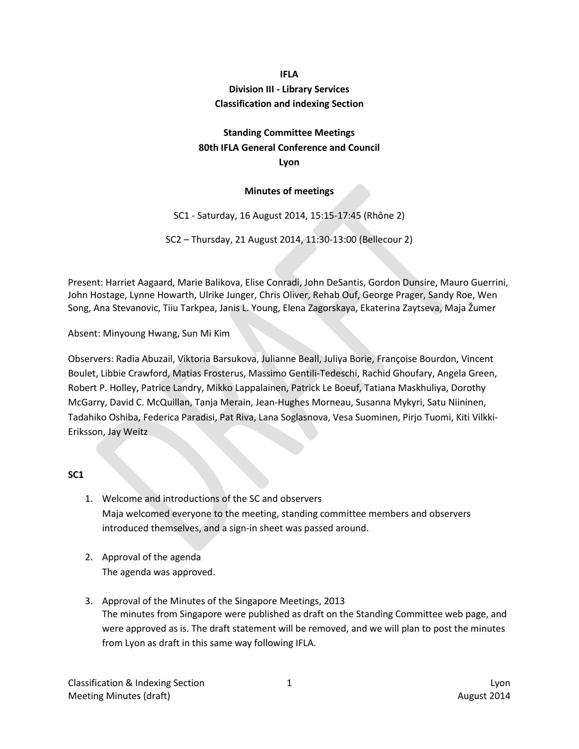# **IFLA Division III - Library Services Classification and indexing Section**

# **Standing Committee Meetings 80th IFLA General Conference and Council Lyon**

### **Minutes of meetings**

SC1 - Saturday, 16 August 2014, 15:15-17:45 (Rhône 2)

SC2 – Thursday, 21 August 2014, 11:30-13:00 (Bellecour 2)

Present: Harriet Aagaard, Marie Balikova, Elise Conradi, John DeSantis, Gordon Dunsire, Mauro Guerrini, John Hostage, Lynne Howarth, Ulrike Junger, Chris Oliver, Rehab Ouf, George Prager, Sandy Roe, Wen Song, Ana Stevanovic, Tiiu Tarkpea, Janis L. Young, Elena Zagorskaya, Ekaterina Zaytseva, Maja Žumer

Absent: Minyoung Hwang, Sun Mi Kim

Observers: Radia Abuzail, Viktoria Barsukova, Julianne Beall, Juliya Borie, Françoise Bourdon, Vincent Boulet, Libbie Crawford, Matias Frosterus, Massimo Gentili-Tedeschi, Rachid Ghoufary, Angela Green, Robert P. Holley, Patrice Landry, Mikko Lappalainen, Patrick Le Boeuf, Tatiana Maskhuliya, Dorothy McGarry, David C. McQuillan, Tanja Merain, Jean-Hughes Morneau, Susanna Mykyri, Satu Niininen, Tadahiko Oshiba, Federica Paradisi, Pat Riva, Lana Soglasnova, Vesa Suominen, Pirjo Tuomi, Kiti Vilkki-Eriksson, Jay Weitz

#### **SC1**

- 1. Welcome and introductions of the SC and observers Maja welcomed everyone to the meeting, standing committee members and observers introduced themselves, and a sign-in sheet was passed around.
- 2. Approval of the agenda The agenda was approved.
- 3. Approval of the Minutes of the Singapore Meetings, 2013 The minutes from Singapore were published as draft on the Standing Committee web page, and were approved as is. The draft statement will be removed, and we will plan to post the minutes from Lyon as draft in this same way following IFLA.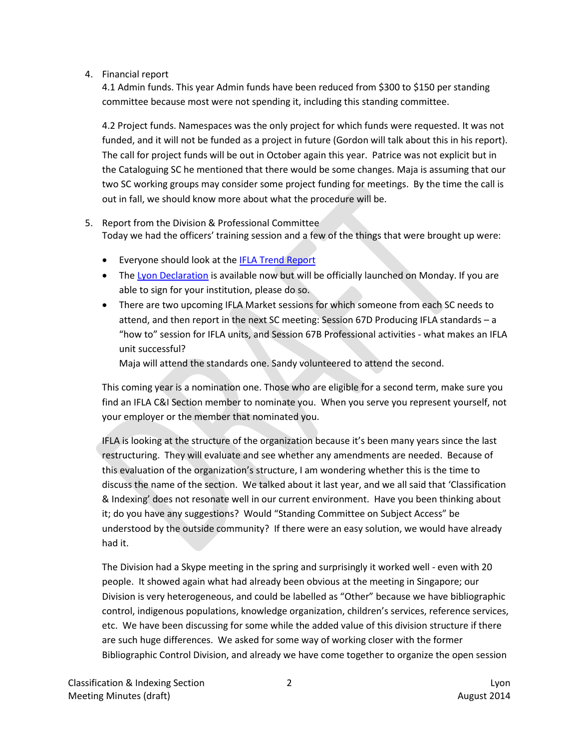### 4. Financial report

4.1 Admin funds. This year Admin funds have been reduced from \$300 to \$150 per standing committee because most were not spending it, including this standing committee.

4.2 Project funds. Namespaces was the only project for which funds were requested. It was not funded, and it will not be funded as a project in future (Gordon will talk about this in his report). The call for project funds will be out in October again this year. Patrice was not explicit but in the Cataloguing SC he mentioned that there would be some changes. Maja is assuming that our two SC working groups may consider some project funding for meetings. By the time the call is out in fall, we should know more about what the procedure will be.

- 5. Report from the Division & Professional Committee Today we had the officers' training session and a few of the things that were brought up were:
	- Everyone should look at the **IFLA Trend Report**
	- The [Lyon Declaration](http://www.lyondeclaration.org/) is available now but will be officially launched on Monday. If you are able to sign for your institution, please do so.
	- There are two upcoming IFLA Market sessions for which someone from each SC needs to attend, and then report in the next SC meeting: Session 67D Producing IFLA standards – a "how to" session for IFLA units, and Session 67B Professional activities - what makes an IFLA unit successful?

Maja will attend the standards one. Sandy volunteered to attend the second.

This coming year is a nomination one. Those who are eligible for a second term, make sure you find an IFLA C&I Section member to nominate you. When you serve you represent yourself, not your employer or the member that nominated you.

IFLA is looking at the structure of the organization because it's been many years since the last restructuring. They will evaluate and see whether any amendments are needed. Because of this evaluation of the organization's structure, I am wondering whether this is the time to discuss the name of the section. We talked about it last year, and we all said that 'Classification & Indexing' does not resonate well in our current environment. Have you been thinking about it; do you have any suggestions? Would "Standing Committee on Subject Access" be understood by the outside community? If there were an easy solution, we would have already had it.

The Division had a Skype meeting in the spring and surprisingly it worked well - even with 20 people. It showed again what had already been obvious at the meeting in Singapore; our Division is very heterogeneous, and could be labelled as "Other" because we have bibliographic control, indigenous populations, knowledge organization, children's services, reference services, etc. We have been discussing for some while the added value of this division structure if there are such huge differences. We asked for some way of working closer with the former Bibliographic Control Division, and already we have come together to organize the open session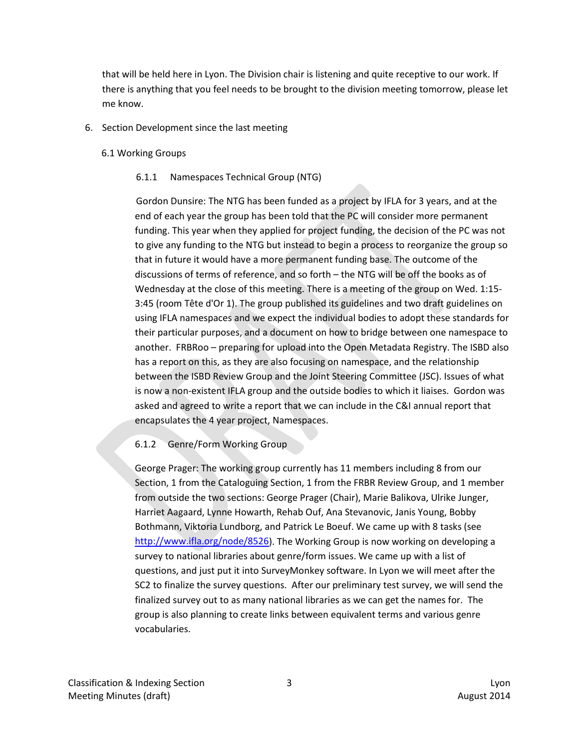that will be held here in Lyon. The Division chair is listening and quite receptive to our work. If there is anything that you feel needs to be brought to the division meeting tomorrow, please let me know.

## 6. Section Development since the last meeting

### 6.1 Working Groups

### 6.1.1 Namespaces Technical Group (NTG)

Gordon Dunsire: The NTG has been funded as a project by IFLA for 3 years, and at the end of each year the group has been told that the PC will consider more permanent funding. This year when they applied for project funding, the decision of the PC was not to give any funding to the NTG but instead to begin a process to reorganize the group so that in future it would have a more permanent funding base. The outcome of the discussions of terms of reference, and so forth – the NTG will be off the books as of Wednesday at the close of this meeting. There is a meeting of the group on Wed. 1:15- 3:45 (room Tête d'Or 1). The group published its guidelines and two draft guidelines on using IFLA namespaces and we expect the individual bodies to adopt these standards for their particular purposes, and a document on how to bridge between one namespace to another. FRBRoo – preparing for upload into the Open Metadata Registry. The ISBD also has a report on this, as they are also focusing on namespace, and the relationship between the ISBD Review Group and the Joint Steering Committee (JSC). Issues of what is now a non-existent IFLA group and the outside bodies to which it liaises. Gordon was asked and agreed to write a report that we can include in the C&I annual report that encapsulates the 4 year project, Namespaces.

# 6.1.2 Genre/Form Working Group

George Prager: The working group currently has 11 members including 8 from our Section, 1 from the Cataloguing Section, 1 from the FRBR Review Group, and 1 member from outside the two sections: George Prager (Chair), Marie Balikova, Ulrike Junger, Harriet Aagaard, Lynne Howarth, Rehab Ouf, Ana Stevanovic, Janis Young, Bobby Bothmann, Viktoria Lundborg, and Patrick Le Boeuf. We came up with 8 tasks (see [http://www.ifla.org/node/8526\)](http://www.ifla.org/node/8526). The Working Group is now working on developing a survey to national libraries about genre/form issues. We came up with a list of questions, and just put it into SurveyMonkey software. In Lyon we will meet after the SC2 to finalize the survey questions. After our preliminary test survey, we will send the finalized survey out to as many national libraries as we can get the names for. The group is also planning to create links between equivalent terms and various genre vocabularies.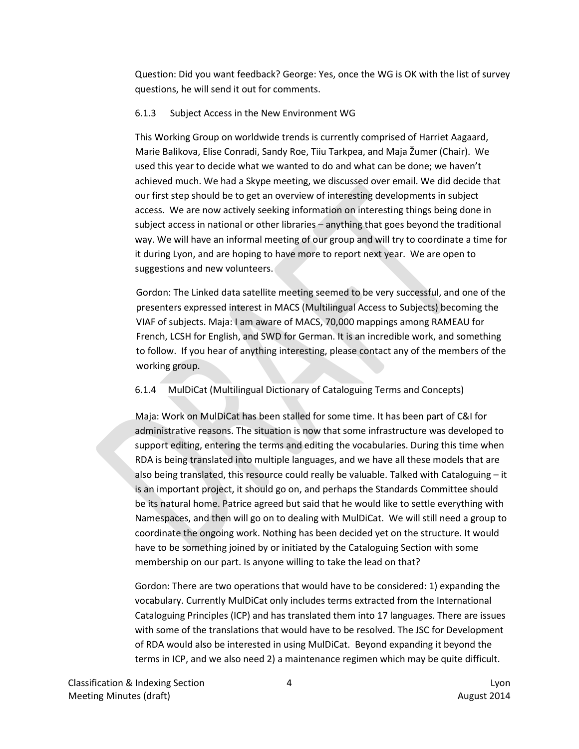Question: Did you want feedback? George: Yes, once the WG is OK with the list of survey questions, he will send it out for comments.

#### 6.1.3 Subject Access in the New Environment WG

This Working Group on worldwide trends is currently comprised of Harriet Aagaard, Marie Balikova, Elise Conradi, Sandy Roe, Tiiu Tarkpea, and Maja Žumer (Chair). We used this year to decide what we wanted to do and what can be done; we haven't achieved much. We had a Skype meeting, we discussed over email. We did decide that our first step should be to get an overview of interesting developments in subject access. We are now actively seeking information on interesting things being done in subject access in national or other libraries – anything that goes beyond the traditional way. We will have an informal meeting of our group and will try to coordinate a time for it during Lyon, and are hoping to have more to report next year. We are open to suggestions and new volunteers.

Gordon: The Linked data satellite meeting seemed to be very successful, and one of the presenters expressed interest in MACS (Multilingual Access to Subjects) becoming the VIAF of subjects. Maja: I am aware of MACS, 70,000 mappings among RAMEAU for French, LCSH for English, and SWD for German. It is an incredible work, and something to follow. If you hear of anything interesting, please contact any of the members of the working group.

# 6.1.4 MulDiCat (Multilingual Dictionary of Cataloguing Terms and Concepts)

Maja: Work on MulDiCat has been stalled for some time. It has been part of C&I for administrative reasons. The situation is now that some infrastructure was developed to support editing, entering the terms and editing the vocabularies. During this time when RDA is being translated into multiple languages, and we have all these models that are also being translated, this resource could really be valuable. Talked with Cataloguing – it is an important project, it should go on, and perhaps the Standards Committee should be its natural home. Patrice agreed but said that he would like to settle everything with Namespaces, and then will go on to dealing with MulDiCat. We will still need a group to coordinate the ongoing work. Nothing has been decided yet on the structure. It would have to be something joined by or initiated by the Cataloguing Section with some membership on our part. Is anyone willing to take the lead on that?

Gordon: There are two operations that would have to be considered: 1) expanding the vocabulary. Currently MulDiCat only includes terms extracted from the International Cataloguing Principles (ICP) and has translated them into 17 languages. There are issues with some of the translations that would have to be resolved. The JSC for Development of RDA would also be interested in using MulDiCat. Beyond expanding it beyond the terms in ICP, and we also need 2) a maintenance regimen which may be quite difficult.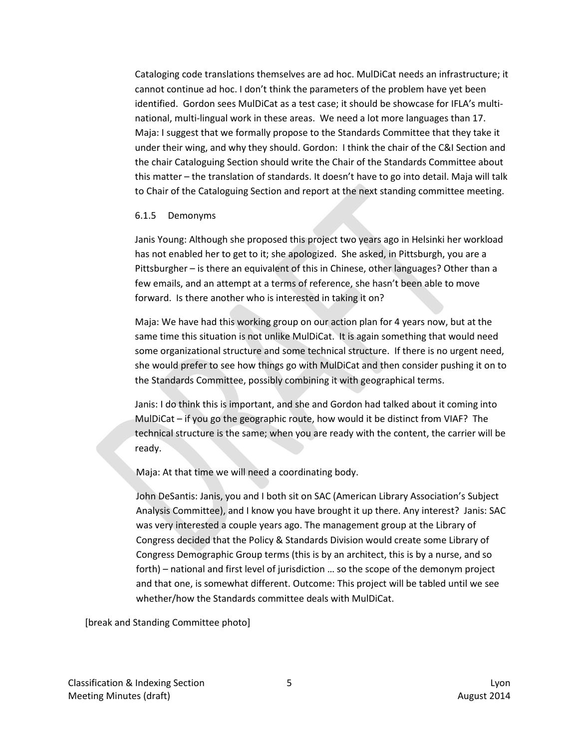Cataloging code translations themselves are ad hoc. MulDiCat needs an infrastructure; it cannot continue ad hoc. I don't think the parameters of the problem have yet been identified. Gordon sees MulDiCat as a test case; it should be showcase for IFLA's multinational, multi-lingual work in these areas. We need a lot more languages than 17. Maja: I suggest that we formally propose to the Standards Committee that they take it under their wing, and why they should. Gordon: I think the chair of the C&I Section and the chair Cataloguing Section should write the Chair of the Standards Committee about this matter – the translation of standards. It doesn't have to go into detail. Maja will talk to Chair of the Cataloguing Section and report at the next standing committee meeting.

#### 6.1.5 Demonyms

Janis Young: Although she proposed this project two years ago in Helsinki her workload has not enabled her to get to it; she apologized. She asked, in Pittsburgh, you are a Pittsburgher – is there an equivalent of this in Chinese, other languages? Other than a few emails, and an attempt at a terms of reference, she hasn't been able to move forward. Is there another who is interested in taking it on?

Maja: We have had this working group on our action plan for 4 years now, but at the same time this situation is not unlike MulDiCat. It is again something that would need some organizational structure and some technical structure. If there is no urgent need, she would prefer to see how things go with MulDiCat and then consider pushing it on to the Standards Committee, possibly combining it with geographical terms.

Janis: I do think this is important, and she and Gordon had talked about it coming into MulDiCat – if you go the geographic route, how would it be distinct from VIAF? The technical structure is the same; when you are ready with the content, the carrier will be ready.

Maja: At that time we will need a coordinating body.

John DeSantis: Janis, you and I both sit on SAC (American Library Association's Subject Analysis Committee), and I know you have brought it up there. Any interest? Janis: SAC was very interested a couple years ago. The management group at the Library of Congress decided that the Policy & Standards Division would create some Library of Congress Demographic Group terms (this is by an architect, this is by a nurse, and so forth) – national and first level of jurisdiction … so the scope of the demonym project and that one, is somewhat different. Outcome: This project will be tabled until we see whether/how the Standards committee deals with MulDiCat.

[break and Standing Committee photo]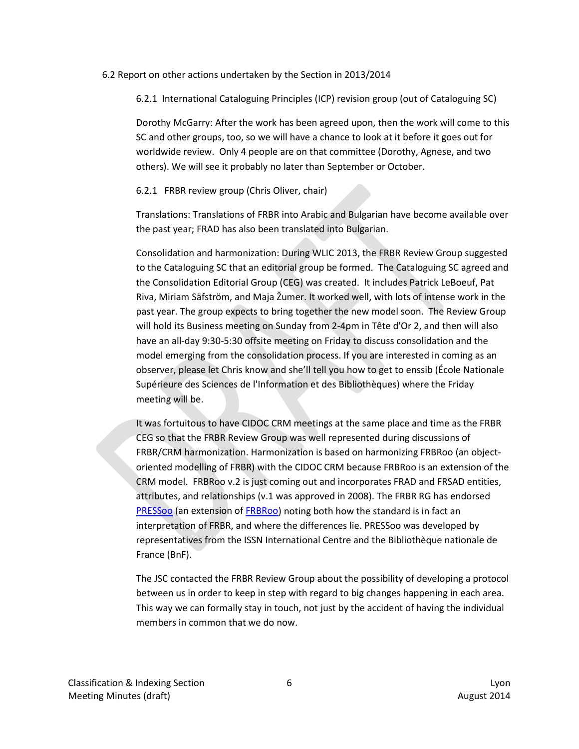#### 6.2 Report on other actions undertaken by the Section in 2013/2014

6.2.1 International Cataloguing Principles (ICP) revision group (out of Cataloguing SC)

Dorothy McGarry: After the work has been agreed upon, then the work will come to this SC and other groups, too, so we will have a chance to look at it before it goes out for worldwide review. Only 4 people are on that committee (Dorothy, Agnese, and two others). We will see it probably no later than September or October.

#### 6.2.1 FRBR review group (Chris Oliver, chair)

Translations: Translations of FRBR into Arabic and Bulgarian have become available over the past year; FRAD has also been translated into Bulgarian.

Consolidation and harmonization: During WLIC 2013, the FRBR Review Group suggested to the Cataloguing SC that an editorial group be formed. The Cataloguing SC agreed and the Consolidation Editorial Group (CEG) was created. It includes Patrick LeBoeuf, Pat Riva, Miriam Säfström, and Maja Žumer. It worked well, with lots of intense work in the past year. The group expects to bring together the new model soon. The Review Group will hold its Business meeting on Sunday from 2-4pm in Tête d'Or 2, and then will also have an all-day 9:30-5:30 offsite meeting on Friday to discuss consolidation and the model emerging from the consolidation process. If you are interested in coming as an observer, please let Chris know and she'll tell you how to get to enssib (École Nationale Supérieure des Sciences de l'Information et des Bibliothèques) where the Friday meeting will be.

It was fortuitous to have CIDOC CRM meetings at the same place and time as the FRBR CEG so that the FRBR Review Group was well represented during discussions of FRBR/CRM harmonization. Harmonization is based on harmonizing FRBRoo (an objectoriented modelling of FRBR) with the CIDOC CRM because FRBRoo is an extension of the CRM model. FRBRoo v.2 is just coming out and incorporates FRAD and FRSAD entities, attributes, and relationships (v.1 was approved in 2008). The FRBR RG has endorsed [PRESSoo](http://www.issn.org/the-centre-and-the-network/our-partners-and-projects/pressoo/) (an extension of [FRBRoo\)](http://www.cidoc-crm.org/frbr_inro.html) noting both how the standard is in fact an interpretation of FRBR, and where the differences lie. PRESSoo was developed by representatives from the ISSN International Centre and the Bibliothèque nationale de France (BnF).

The JSC contacted the FRBR Review Group about the possibility of developing a protocol between us in order to keep in step with regard to big changes happening in each area. This way we can formally stay in touch, not just by the accident of having the individual members in common that we do now.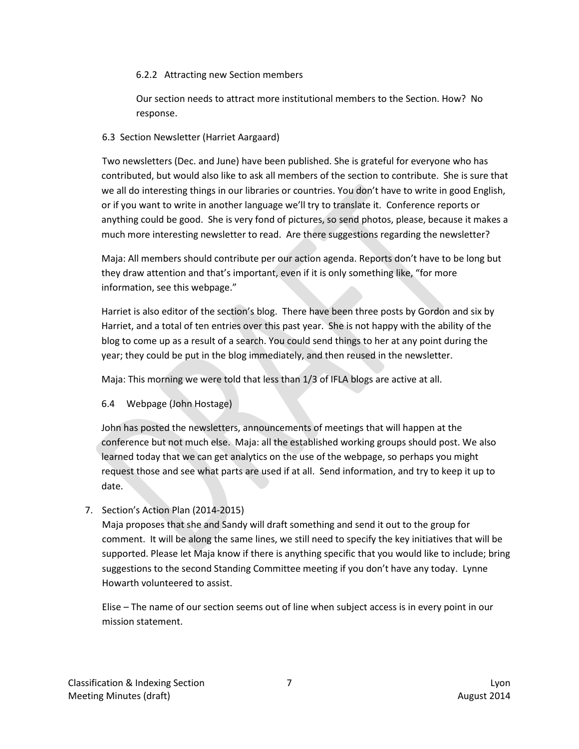## 6.2.2 Attracting new Section members

Our section needs to attract more institutional members to the Section. How? No response.

## 6.3 Section Newsletter (Harriet Aargaard)

Two newsletters (Dec. and June) have been published. She is grateful for everyone who has contributed, but would also like to ask all members of the section to contribute. She is sure that we all do interesting things in our libraries or countries. You don't have to write in good English, or if you want to write in another language we'll try to translate it. Conference reports or anything could be good. She is very fond of pictures, so send photos, please, because it makes a much more interesting newsletter to read. Are there suggestions regarding the newsletter?

Maja: All members should contribute per our action agenda. Reports don't have to be long but they draw attention and that's important, even if it is only something like, "for more information, see this webpage."

Harriet is also editor of the section's blog. There have been three posts by Gordon and six by Harriet, and a total of ten entries over this past year. She is not happy with the ability of the blog to come up as a result of a search. You could send things to her at any point during the year; they could be put in the blog immediately, and then reused in the newsletter.

Maja: This morning we were told that less than 1/3 of IFLA blogs are active at all.

6.4 Webpage (John Hostage)

John has posted the newsletters, announcements of meetings that will happen at the conference but not much else. Maja: all the established working groups should post. We also learned today that we can get analytics on the use of the webpage, so perhaps you might request those and see what parts are used if at all. Send information, and try to keep it up to date.

7. Section's Action Plan (2014-2015)

Maja proposes that she and Sandy will draft something and send it out to the group for comment. It will be along the same lines, we still need to specify the key initiatives that will be supported. Please let Maja know if there is anything specific that you would like to include; bring suggestions to the second Standing Committee meeting if you don't have any today. Lynne Howarth volunteered to assist.

Elise – The name of our section seems out of line when subject access is in every point in our mission statement.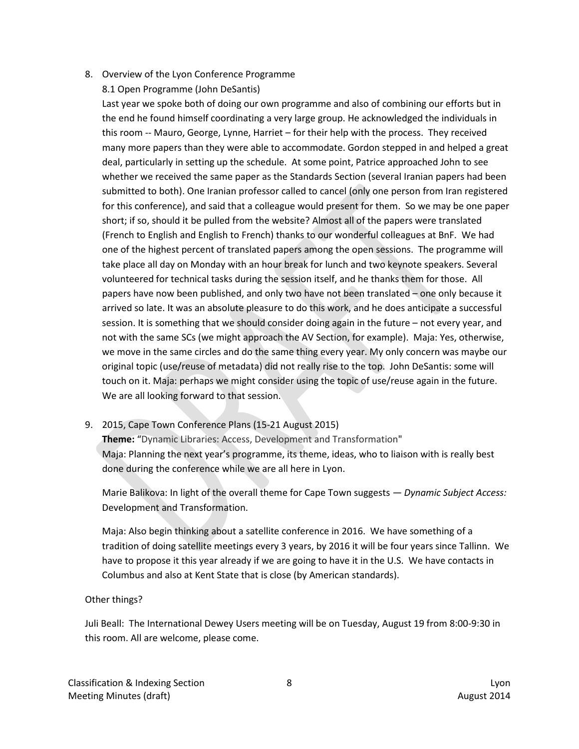8. Overview of the Lyon Conference Programme

8.1 Open Programme (John DeSantis)

Last year we spoke both of doing our own programme and also of combining our efforts but in the end he found himself coordinating a very large group. He acknowledged the individuals in this room -- Mauro, George, Lynne, Harriet – for their help with the process. They received many more papers than they were able to accommodate. Gordon stepped in and helped a great deal, particularly in setting up the schedule. At some point, Patrice approached John to see whether we received the same paper as the Standards Section (several Iranian papers had been submitted to both). One Iranian professor called to cancel (only one person from Iran registered for this conference), and said that a colleague would present for them. So we may be one paper short; if so, should it be pulled from the website? Almost all of the papers were translated (French to English and English to French) thanks to our wonderful colleagues at BnF. We had one of the highest percent of translated papers among the open sessions. The programme will take place all day on Monday with an hour break for lunch and two keynote speakers. Several volunteered for technical tasks during the session itself, and he thanks them for those. All papers have now been published, and only two have not been translated – one only because it arrived so late. It was an absolute pleasure to do this work, and he does anticipate a successful session. It is something that we should consider doing again in the future – not every year, and not with the same SCs (we might approach the AV Section, for example). Maja: Yes, otherwise, we move in the same circles and do the same thing every year. My only concern was maybe our original topic (use/reuse of metadata) did not really rise to the top. John DeSantis: some will touch on it. Maja: perhaps we might consider using the topic of use/reuse again in the future. We are all looking forward to that session.

9. 2015, Cape Town Conference Plans (15-21 August 2015)

**Theme:** "Dynamic Libraries: Access, Development and Transformation" Maja: Planning the next year's programme, its theme, ideas, who to liaison with is really best done during the conference while we are all here in Lyon.

Marie Balikova: In light of the overall theme for Cape Town suggests *— Dynamic Subject Access:* Development and Transformation.

Maja: Also begin thinking about a satellite conference in 2016. We have something of a tradition of doing satellite meetings every 3 years, by 2016 it will be four years since Tallinn. We have to propose it this year already if we are going to have it in the U.S. We have contacts in Columbus and also at Kent State that is close (by American standards).

# Other things?

Juli Beall: The International Dewey Users meeting will be on Tuesday, August 19 from 8:00-9:30 in this room. All are welcome, please come.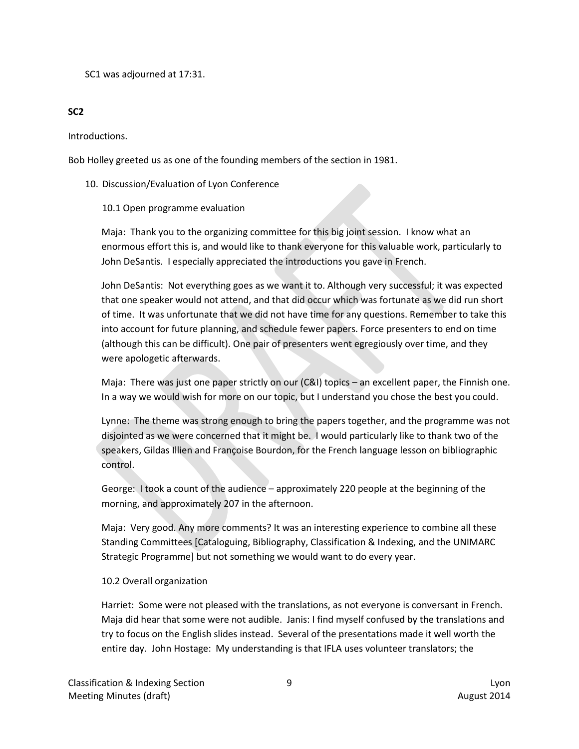SC1 was adjourned at 17:31.

# **SC2**

Introductions.

Bob Holley greeted us as one of the founding members of the section in 1981.

# 10. Discussion/Evaluation of Lyon Conference

# 10.1 Open programme evaluation

Maja: Thank you to the organizing committee for this big joint session. I know what an enormous effort this is, and would like to thank everyone for this valuable work, particularly to John DeSantis. I especially appreciated the introductions you gave in French.

John DeSantis: Not everything goes as we want it to. Although very successful; it was expected that one speaker would not attend, and that did occur which was fortunate as we did run short of time. It was unfortunate that we did not have time for any questions. Remember to take this into account for future planning, and schedule fewer papers. Force presenters to end on time (although this can be difficult). One pair of presenters went egregiously over time, and they were apologetic afterwards.

Maja: There was just one paper strictly on our (C&I) topics – an excellent paper, the Finnish one. In a way we would wish for more on our topic, but I understand you chose the best you could.

Lynne: The theme was strong enough to bring the papers together, and the programme was not disjointed as we were concerned that it might be. I would particularly like to thank two of the speakers, Gildas Illien and Françoise Bourdon, for the French language lesson on bibliographic control.

George: I took a count of the audience – approximately 220 people at the beginning of the morning, and approximately 207 in the afternoon.

Maja: Very good. Any more comments? It was an interesting experience to combine all these Standing Committees [Cataloguing, Bibliography, Classification & Indexing, and the UNIMARC Strategic Programme] but not something we would want to do every year.

# 10.2 Overall organization

Harriet: Some were not pleased with the translations, as not everyone is conversant in French. Maja did hear that some were not audible. Janis: I find myself confused by the translations and try to focus on the English slides instead. Several of the presentations made it well worth the entire day. John Hostage: My understanding is that IFLA uses volunteer translators; the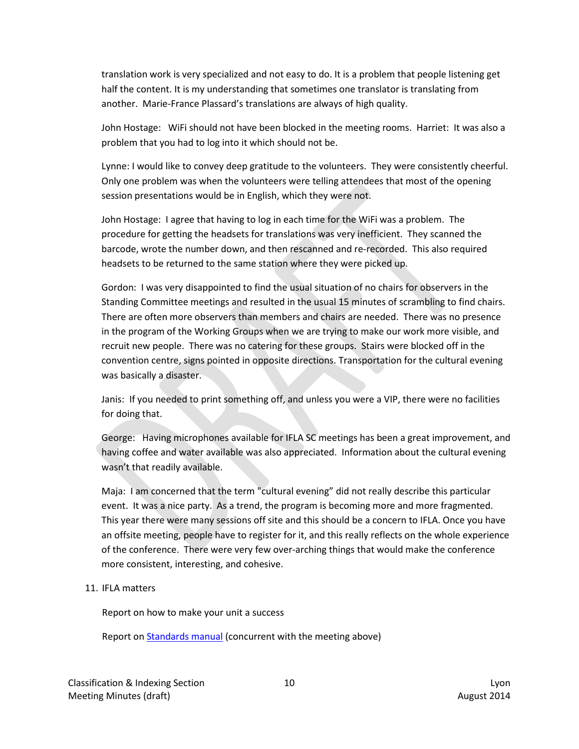translation work is very specialized and not easy to do. It is a problem that people listening get half the content. It is my understanding that sometimes one translator is translating from another. Marie-France Plassard's translations are always of high quality.

John Hostage: WiFi should not have been blocked in the meeting rooms. Harriet: It was also a problem that you had to log into it which should not be.

Lynne: I would like to convey deep gratitude to the volunteers. They were consistently cheerful. Only one problem was when the volunteers were telling attendees that most of the opening session presentations would be in English, which they were not.

John Hostage: I agree that having to log in each time for the WiFi was a problem. The procedure for getting the headsets for translations was very inefficient. They scanned the barcode, wrote the number down, and then rescanned and re-recorded. This also required headsets to be returned to the same station where they were picked up.

Gordon: I was very disappointed to find the usual situation of no chairs for observers in the Standing Committee meetings and resulted in the usual 15 minutes of scrambling to find chairs. There are often more observers than members and chairs are needed. There was no presence in the program of the Working Groups when we are trying to make our work more visible, and recruit new people. There was no catering for these groups. Stairs were blocked off in the convention centre, signs pointed in opposite directions. Transportation for the cultural evening was basically a disaster.

Janis: If you needed to print something off, and unless you were a VIP, there were no facilities for doing that.

George: Having microphones available for IFLA SC meetings has been a great improvement, and having coffee and water available was also appreciated. Information about the cultural evening wasn't that readily available.

Maja: I am concerned that the term "cultural evening" did not really describe this particular event. It was a nice party. As a trend, the program is becoming more and more fragmented. This year there were many sessions off site and this should be a concern to IFLA. Once you have an offsite meeting, people have to register for it, and this really reflects on the whole experience of the conference. There were very few over-arching things that would make the conference more consistent, interesting, and cohesive.

# 11. IFLA matters

Report on how to make your unit a success

Report on [Standards manual](http://www.ifla.org/node/8719) (concurrent with the meeting above)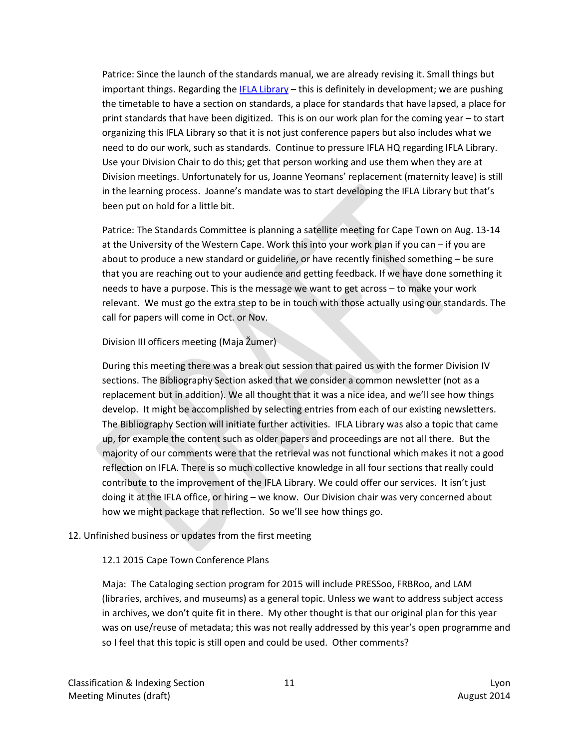Patrice: Since the launch of the standards manual, we are already revising it. Small things but important things. Regarding the [IFLA Library](http://library.ifla.org/) – this is definitely in development; we are pushing the timetable to have a section on standards, a place for standards that have lapsed, a place for print standards that have been digitized. This is on our work plan for the coming year – to start organizing this IFLA Library so that it is not just conference papers but also includes what we need to do our work, such as standards. Continue to pressure IFLA HQ regarding IFLA Library. Use your Division Chair to do this; get that person working and use them when they are at Division meetings. Unfortunately for us, Joanne Yeomans' replacement (maternity leave) is still in the learning process. Joanne's mandate was to start developing the IFLA Library but that's been put on hold for a little bit.

Patrice: The Standards Committee is planning a satellite meeting for Cape Town on Aug. 13-14 at the University of the Western Cape. Work this into your work plan if you can – if you are about to produce a new standard or guideline, or have recently finished something – be sure that you are reaching out to your audience and getting feedback. If we have done something it needs to have a purpose. This is the message we want to get across – to make your work relevant. We must go the extra step to be in touch with those actually using our standards. The call for papers will come in Oct. or Nov.

# Division III officers meeting (Maja Žumer)

During this meeting there was a break out session that paired us with the former Division IV sections. The Bibliography Section asked that we consider a common newsletter (not as a replacement but in addition). We all thought that it was a nice idea, and we'll see how things develop. It might be accomplished by selecting entries from each of our existing newsletters. The Bibliography Section will initiate further activities. IFLA Library was also a topic that came up, for example the content such as older papers and proceedings are not all there. But the majority of our comments were that the retrieval was not functional which makes it not a good reflection on IFLA. There is so much collective knowledge in all four sections that really could contribute to the improvement of the IFLA Library. We could offer our services. It isn't just doing it at the IFLA office, or hiring – we know. Our Division chair was very concerned about how we might package that reflection. So we'll see how things go.

# 12. Unfinished business or updates from the first meeting

# 12.1 2015 Cape Town Conference Plans

Maja: The Cataloging section program for 2015 will include PRESSoo, FRBRoo, and LAM (libraries, archives, and museums) as a general topic. Unless we want to address subject access in archives, we don't quite fit in there. My other thought is that our original plan for this year was on use/reuse of metadata; this was not really addressed by this year's open programme and so I feel that this topic is still open and could be used. Other comments?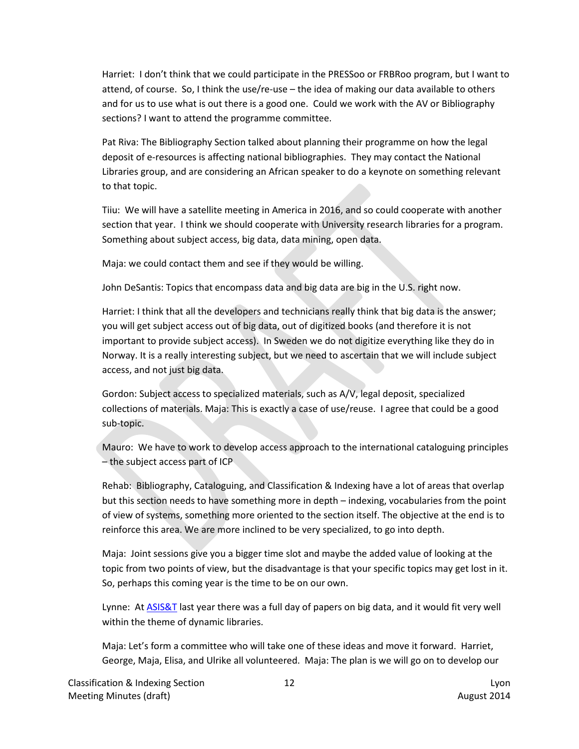Harriet: I don't think that we could participate in the PRESSoo or FRBRoo program, but I want to attend, of course. So, I think the use/re-use – the idea of making our data available to others and for us to use what is out there is a good one. Could we work with the AV or Bibliography sections? I want to attend the programme committee.

Pat Riva: The Bibliography Section talked about planning their programme on how the legal deposit of e-resources is affecting national bibliographies. They may contact the National Libraries group, and are considering an African speaker to do a keynote on something relevant to that topic.

Tiiu: We will have a satellite meeting in America in 2016, and so could cooperate with another section that year. I think we should cooperate with University research libraries for a program. Something about subject access, big data, data mining, open data.

Maja: we could contact them and see if they would be willing.

John DeSantis: Topics that encompass data and big data are big in the U.S. right now.

Harriet: I think that all the developers and technicians really think that big data is the answer; you will get subject access out of big data, out of digitized books (and therefore it is not important to provide subject access). In Sweden we do not digitize everything like they do in Norway. It is a really interesting subject, but we need to ascertain that we will include subject access, and not just big data.

Gordon: Subject access to specialized materials, such as A/V, legal deposit, specialized collections of materials. Maja: This is exactly a case of use/reuse. I agree that could be a good sub-topic.

Mauro: We have to work to develop access approach to the international cataloguing principles – the subject access part of ICP

Rehab: Bibliography, Cataloguing, and Classification & Indexing have a lot of areas that overlap but this section needs to have something more in depth – indexing, vocabularies from the point of view of systems, something more oriented to the section itself. The objective at the end is to reinforce this area. We are more inclined to be very specialized, to go into depth.

Maja: Joint sessions give you a bigger time slot and maybe the added value of looking at the topic from two points of view, but the disadvantage is that your specific topics may get lost in it. So, perhaps this coming year is the time to be on our own.

Lynne: At [ASIS&T](http://www.asis.org/) last year there was a full day of papers on big data, and it would fit very well within the theme of dynamic libraries.

Maja: Let's form a committee who will take one of these ideas and move it forward. Harriet, George, Maja, Elisa, and Ulrike all volunteered. Maja: The plan is we will go on to develop our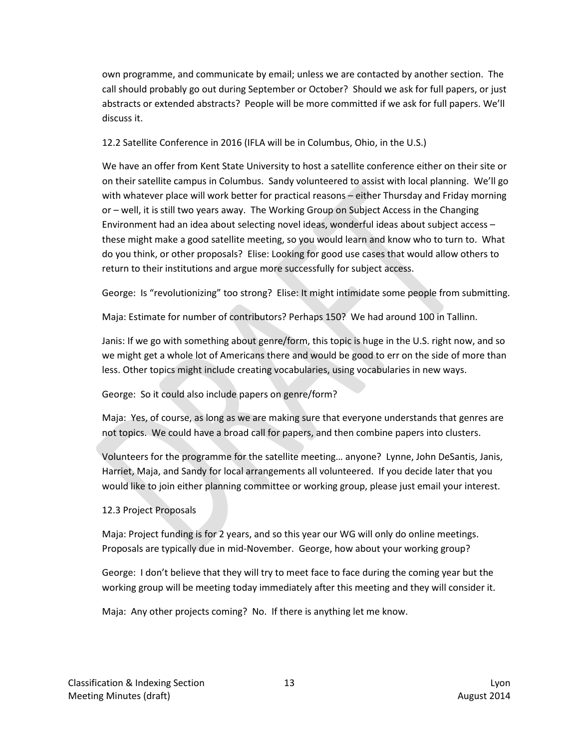own programme, and communicate by email; unless we are contacted by another section. The call should probably go out during September or October? Should we ask for full papers, or just abstracts or extended abstracts? People will be more committed if we ask for full papers. We'll discuss it.

12.2 Satellite Conference in 2016 (IFLA will be in Columbus, Ohio, in the U.S.)

We have an offer from Kent State University to host a satellite conference either on their site or on their satellite campus in Columbus. Sandy volunteered to assist with local planning. We'll go with whatever place will work better for practical reasons – either Thursday and Friday morning or – well, it is still two years away. The Working Group on Subject Access in the Changing Environment had an idea about selecting novel ideas, wonderful ideas about subject access – these might make a good satellite meeting, so you would learn and know who to turn to. What do you think, or other proposals? Elise: Looking for good use cases that would allow others to return to their institutions and argue more successfully for subject access.

George: Is "revolutionizing" too strong? Elise: It might intimidate some people from submitting.

Maja: Estimate for number of contributors? Perhaps 150? We had around 100 in Tallinn.

Janis: If we go with something about genre/form, this topic is huge in the U.S. right now, and so we might get a whole lot of Americans there and would be good to err on the side of more than less. Other topics might include creating vocabularies, using vocabularies in new ways.

George: So it could also include papers on genre/form?

Maja: Yes, of course, as long as we are making sure that everyone understands that genres are not topics. We could have a broad call for papers, and then combine papers into clusters.

Volunteers for the programme for the satellite meeting… anyone? Lynne, John DeSantis, Janis, Harriet, Maja, and Sandy for local arrangements all volunteered. If you decide later that you would like to join either planning committee or working group, please just email your interest.

# 12.3 Project Proposals

Maja: Project funding is for 2 years, and so this year our WG will only do online meetings. Proposals are typically due in mid-November. George, how about your working group?

George: I don't believe that they will try to meet face to face during the coming year but the working group will be meeting today immediately after this meeting and they will consider it.

Maja: Any other projects coming? No. If there is anything let me know.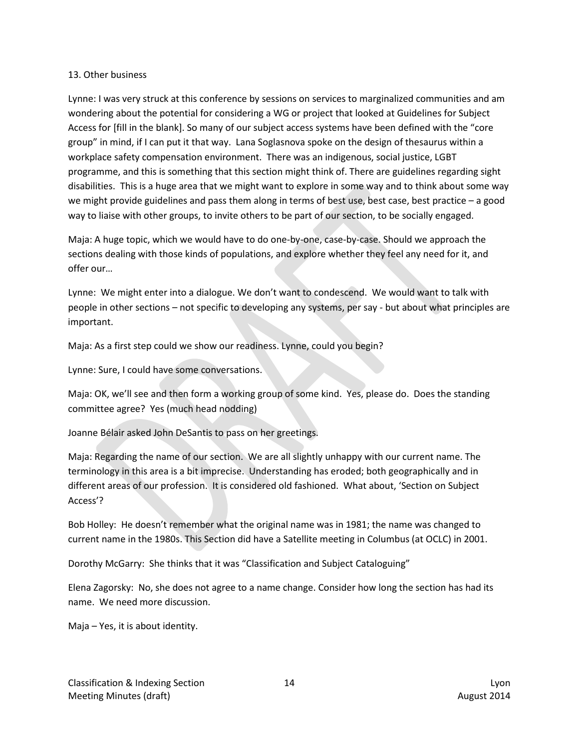#### 13. Other business

Lynne: I was very struck at this conference by sessions on services to marginalized communities and am wondering about the potential for considering a WG or project that looked at Guidelines for Subject Access for [fill in the blank]. So many of our subject access systems have been defined with the "core group" in mind, if I can put it that way. Lana Soglasnova spoke on the design of thesaurus within a workplace safety compensation environment. There was an indigenous, social justice, LGBT programme, and this is something that this section might think of. There are guidelines regarding sight disabilities. This is a huge area that we might want to explore in some way and to think about some way we might provide guidelines and pass them along in terms of best use, best case, best practice – a good way to liaise with other groups, to invite others to be part of our section, to be socially engaged.

Maja: A huge topic, which we would have to do one-by-one, case-by-case. Should we approach the sections dealing with those kinds of populations, and explore whether they feel any need for it, and offer our…

Lynne: We might enter into a dialogue. We don't want to condescend. We would want to talk with people in other sections – not specific to developing any systems, per say - but about what principles are important.

Maja: As a first step could we show our readiness. Lynne, could you begin?

Lynne: Sure, I could have some conversations.

Maja: OK, we'll see and then form a working group of some kind. Yes, please do. Does the standing committee agree? Yes (much head nodding)

Joanne Bélair asked John DeSantis to pass on her greetings.

Maja: Regarding the name of our section. We are all slightly unhappy with our current name. The terminology in this area is a bit imprecise. Understanding has eroded; both geographically and in different areas of our profession. It is considered old fashioned. What about, 'Section on Subject Access'?

Bob Holley: He doesn't remember what the original name was in 1981; the name was changed to current name in the 1980s. This Section did have a Satellite meeting in Columbus (at OCLC) in 2001.

Dorothy McGarry: She thinks that it was "Classification and Subject Cataloguing"

Elena Zagorsky: No, she does not agree to a name change. Consider how long the section has had its name. We need more discussion.

Maja – Yes, it is about identity.